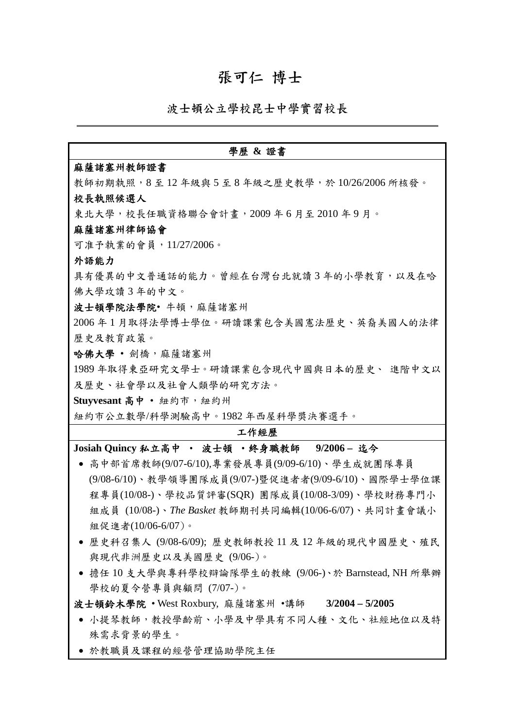#### 張可仁 博士

波士頓公立學校昆士中學實習校長

#### 學歷 **&** 證書 麻薩諸塞州教師證書 教師初期執照,8至12年級與5至8年級之歷史教學,於10/26/2006所核發。 校長執照候選人 東北大學,校長任職資格聯合會計畫,2009 年 6 月至 2010 年 9 月。 麻薩諸塞州律師協會 可准予執業的會員,11/27/2006。 外語能力 具有優異的中文普通話的能力。曾經在台灣台北就讀3年的小學教育,以及在哈 佛大學攻讀 3 年的中文。 波士頓學院法學院•牛頓,麻薩諸塞州 2006 年 1 月取得法學博士學位。研讀課業包含美國憲法歷史、英裔美國人的法律 歷史及教育政策。 哈佛大學 · 劍橋,麻薩諸塞州 1989 年取得東亞研究文學士。研讀課業包含現代中國與日本的歷史、 進階中文以 及歷史、社會學以及社會人類學的研究方法。 **Stuyvesant** 高中 • 紐約市,紐約州 紐約市公立數學/科學測驗高中。1982 年西屋科學獎決賽選手。 工作經歷 **Josiah Quincy** 私立高中 • 波士頓 •終身職教師 **9/2006 –** 迄今 ● 高中部首席教師(9/07-6/10),專業發展專員(9/09-6/10)、學生成就團隊專員 (9/08-6/10)、教學領導團隊成員(9/07-)暨促進者者(9/09-6/10)、國際學士學位課 程專員(10/08-)、學校品質評審(SQR) 團隊成員(10/08-3/09)、學校財務專門小 組成員 (10/08-)、*The Basket* 教師期刊共同編輯(10/06-6/07)、共同計畫會議小 組促進者(10/06-6/07)。 • 歷史科召集人 (9/08-6/09); 歷史教師教授 11 及 12 年級的現代中國歷史、殖民 與現代非洲歷史以及美國歷史 (9/06-)。 • 擔任 10 支大學與專科學校辯論隊學生的教練 (9/06-)、於 Barnstead, NH 所舉辦 學校的夏令營專員與顧問 (7/07-)。

波士頓鈴木學院 • West Roxbury, 麻薩諸塞州 •講師 **3/2004 – 5/2005**

- 小提琴教師,教授學齡前、小學及中學具有不同人種、文化、社經地位以及特 殊需求背景的學生。
- 於教職員及課程的經營管理協助學院主任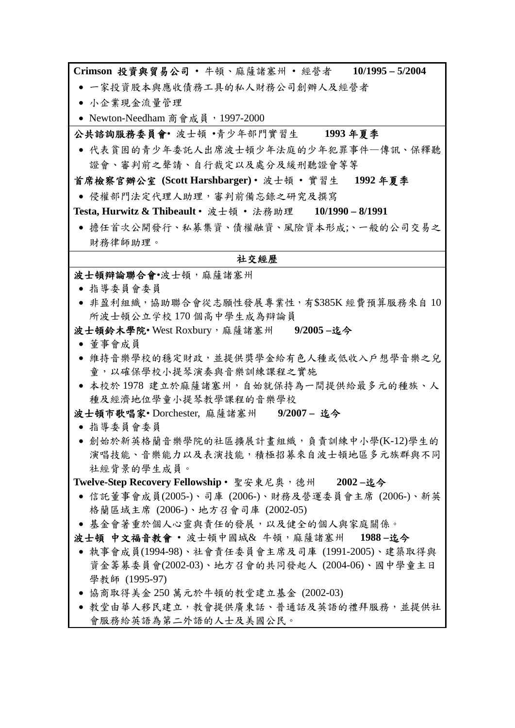**Crimson** 投資與貿易公司 • 牛頓、麻薩諸塞州 • 經營者 **10/1995 – 5/2004**

- 一家投資股本與應收債務工具的私人財務公司創辦人及經營者
- 小企業現金流量管理
- Newton-Needham 商會成員, 1997-2000

公共諮詢服務委員會• 波士頓 •青少年部門實習生 **1993** 年夏季

• 代表貧困的青少年委託人出席波士頓少年法庭的少年犯罪事件—傳訊、保釋聽 證會、審判前之聲請、自行裁定以及處分及緩刑聽證會等等

首席檢察官辦公室 **(Scott Harshbarger)** • 波士頓 • 實習生 **1992** 年夏季

• 侵權部門法定代理人助理,審判前備忘錄之研究及撰寫

**Testa, Hurwitz & Thibeault** • 波士頓 • 法務助理 **10/1990 – 8/1991**

• 擔任首次公開發行、私募集資、債權融資、風險資本形成;、一般的公司交易之 財務律師助理。

#### 社交經歷

波士頓辯論聯合會•波士頓,麻薩諸塞州

- 指導委員會委員
- 非盈利組織,協助聯合會從志願性發展專業性,有\$385K 經費預算服務來自 10 所波士頓公立学校 170 個高中學生成為辯論員

波士頓鈴木學院• West Roxbury,麻薩諸塞州 **9/2005 –**迄今

- 董事會成員
- 維持音樂學校的穩定財政,並提供獎學金給有色人種或低收入戶想學音樂之兒 童,以確保學校小提琴演奏與音樂訓練課程之實施
- 本校於 1978 建立於麻薩諸塞州,自始就保持為一間提供給最多元的種族、人 種及經濟地位學童小提琴教學課程的音樂學校

波士頓市歌唱家• Dorchester, 麻薩諸塞州 **9/2007 –** 迄今

- 指導委員會委員
- 創始於新英格蘭音樂學院的社區擴展計畫組織,負責訓練中小學(K-12)學生的 演唱技能、音樂能力以及表演技能,積極招募來自波士頓地區多元族群與不同 社經背景的學生成員。

**Twelve-Step Recovery Fellowship** • 聖安東尼奧,德州 **2002 –**迄今

- 信託董事會成員(2005-)、司庫 (2006-)、財務及營運委員會主席 (2006-)、新英 格蘭區域主席 (2006-)、地方召會司庫 (2002-05)
- 基金會著重於個人心靈與責任的發展,以及健全的個人與家庭關係。

波士頓 中文福音教會 • 波士頓中國城& 牛頓,麻薩諸塞州 **1988 –**迄今

- 執事會成員(1994-98)、社會責任委員會主席及司庫 (1991-2005)、建築取得與 資金籌募委員會(2002-03)、地方召會的共同發起人 (2004-06)、國中學童主日 學教師 (1995-97)
- 協商取得美金 250 萬元於牛頓的教堂建立基金 (2002-03)
- 教堂由華人移民建立,教會提供廣東話、普通話及英語的禮拜服務,並提供社 會服務給英語為第二外語的人士及美國公民。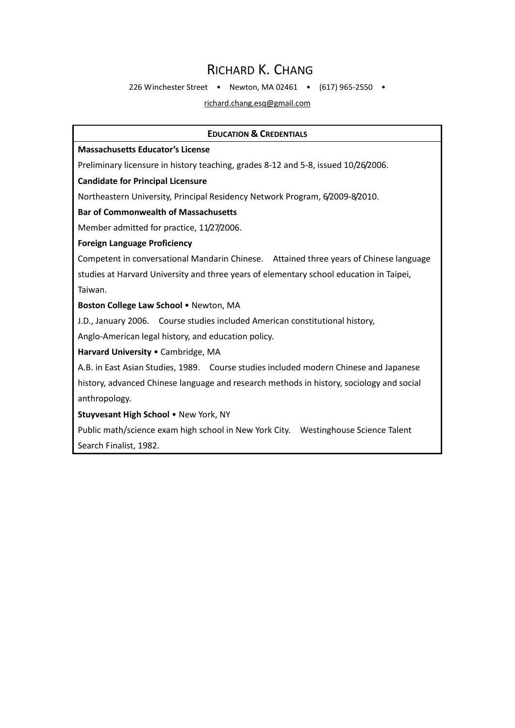#### RICHARD K. CHANG

226 Winchester Street • Newton, MA 02461 • (617) 965‐2550 •

richard.chang.esq@gmail.com

#### **EDUCATION & CREDENTIALS**

#### **Massachusetts Educator's License**

Preliminary licensure in history teaching, grades 8‐12 and 5‐8, issued 10/26/2006.

#### **Candidate for Principal Licensure**

Northeastern University, Principal Residency Network Program, 6/2009‐8/2010.

#### **Bar of Commonwealth of Massachusetts**

Member admitted for practice, 11/27/2006.

#### **Foreign Language Proficiency**

Competent in conversational Mandarin Chinese. Attained three years of Chinese language studies at Harvard University and three years of elementary school education in Taipei, Taiwan.

#### **Boston College Law School** • Newton, MA

J.D., January 2006. Course studies included American constitutional history,

Anglo‐American legal history, and education policy.

#### **Harvard University** • Cambridge, MA

A.B. in East Asian Studies, 1989. Course studies included modern Chinese and Japanese history, advanced Chinese language and research methods in history, sociology and social anthropology.

**Stuyvesant High School** • New York, NY

Public math/science exam high school in New York City. Westinghouse Science Talent Search Finalist, 1982.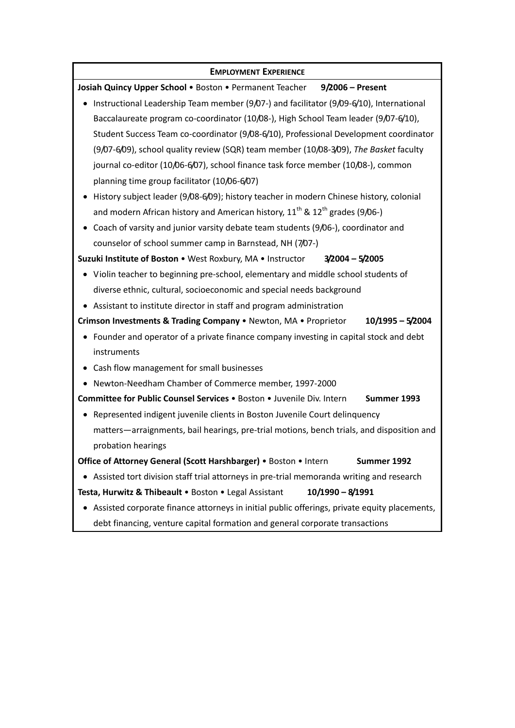#### **EMPLOYMENT EXPERIENCE**

**Josiah Quincy Upper School** • Boston • Permanent Teacher **9/2006 – Present** • Instructional Leadership Team member (9/07‐) and facilitator (9/09‐6/10), International Baccalaureate program co‐coordinator (10/08‐), High School Team leader (9/07‐6/10), Student Success Team co‐coordinator (9/08‐6/10), Professional Development coordinator (9/07‐6/09), school quality review (SQR) team member (10/08‐3/09), *The Basket* faculty journal co-editor (10/06-6/07), school finance task force member (10/08-), common planning time group facilitator (10/06‐6/07) • History subject leader (9/08-6/09); history teacher in modern Chinese history, colonial and modern African history and American history,  $11^{th}$  &  $12^{th}$  grades (9/06-) • Coach of varsity and junior varsity debate team students (9/06‐), coordinator and counselor of school summer camp in Barnstead, NH (7/07‐) **Suzuki Institute of Boston** • West Roxbury, MA • Instructor **3/2004 – 5/2005** • Violin teacher to beginning pre‐school, elementary and middle school students of diverse ethnic, cultural, socioeconomic and special needs background • Assistant to institute director in staff and program administration **Crimson Investments & Trading Company** • Newton, MA • Proprietor **10/1995 – 5/2004** • Founder and operator of a private finance company investing in capital stock and debt instruments • Cash flow management for small businesses • Newton‐Needham Chamber of Commerce member, 1997‐2000 **Committee for Public Counsel Services** • Boston • Juvenile Div. Intern **Summer 1993** • Represented indigent juvenile clients in Boston Juvenile Court delinquency matters—arraignments, bail hearings, pre-trial motions, bench trials, and disposition and probation hearings **Office of Attorney General (Scott Harshbarger)** • Boston • Intern **Summer 1992** • Assisted tort division staff trial attorneys in pre‐trial memoranda writing and research **Testa, Hurwitz & Thibeault** • Boston • Legal Assistant **10/1990 – 8/1991** • Assisted corporate finance attorneys in initial public offerings, private equity placements, debt financing, venture capital formation and general corporate transactions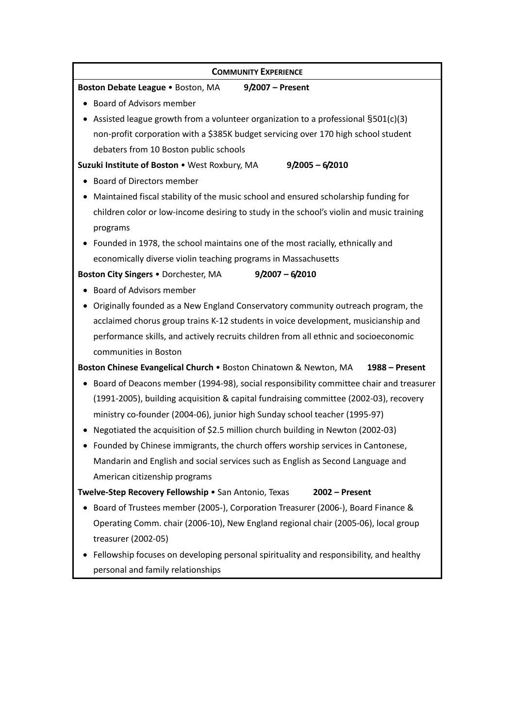#### **COMMUNITY EXPERIENCE**

#### **Boston Debate League** • Boston, MA **9/2007 – Present**

• Board of Advisors member

• Assisted league growth from a volunteer organization to a professional  $$501(c)(3)$ non‐profit corporation with a \$385K budget servicing over 170 high school student debaters from 10 Boston public schools

**Suzuki Institute of Boston** • West Roxbury, MA **9/2005 – 6/2010**

- Board of Directors member
- Maintained fiscal stability of the music school and ensured scholarship funding for children color or low‐income desiring to study in the school's violin and music training programs
- Founded in 1978, the school maintains one of the most racially, ethnically and economically diverse violin teaching programs in Massachusetts

**Boston City Singers** • Dorchester, MA **9/2007 – 6/2010**

- Board of Advisors member
- Originally founded as a New England Conservatory community outreach program, the acclaimed chorus group trains K‐12 students in voice development, musicianship and performance skills, and actively recruits children from all ethnic and socioeconomic communities in Boston

**Boston Chinese Evangelical Church** • Boston Chinatown & Newton, MA **1988 – Present**

- Board of Deacons member (1994‐98), social responsibility committee chair and treasurer (1991‐2005), building acquisition & capital fundraising committee (2002‐03), recovery ministry co-founder (2004-06), junior high Sunday school teacher (1995-97)
- Negotiated the acquisition of \$2.5 million church building in Newton (2002‐03)
- Founded by Chinese immigrants, the church offers worship services in Cantonese, Mandarin and English and social services such as English as Second Language and American citizenship programs

**Twelve‐Step Recovery Fellowship** • San Antonio, Texas **2002 – Present**

- Board of Trustees member (2005‐), Corporation Treasurer (2006‐), Board Finance & Operating Comm. chair (2006‐10), New England regional chair (2005‐06), local group treasurer (2002‐05)
- Fellowship focuses on developing personal spirituality and responsibility, and healthy personal and family relationships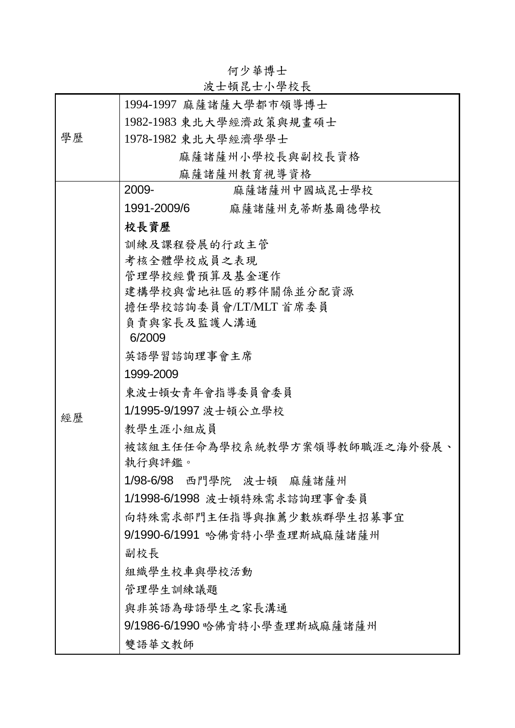|    | 以上 识 比 丄 イト 子 イメ ĭメ                    |
|----|----------------------------------------|
|    | 1994-1997 麻薩諸薩大學都市領導博士                 |
|    | 1982-1983 東北大學經濟政策與規畫碩士                |
| 學歷 | 1978-1982 東北大學經濟學學士                    |
|    | 麻薩諸薩州小學校長與副校長資格                        |
|    | 麻薩諸薩州教育視導資格                            |
|    | 2009-<br>麻薩諸薩州中國城昆士學校                  |
|    | 1991-2009/6<br>麻薩諸薩州克蒂斯基爾德學校           |
|    | 校長資歷                                   |
|    | 訓練及課程發展的行政主管                           |
|    | 考核全體學校成員之表現                            |
|    | 管理學校經費預算及基金運作                          |
|    | 建構學校與當地社區的夥伴關係並分配資源                    |
|    | 擔任學校諮詢委員會/LT/MLT首席委員                   |
|    | 負責與家長及監護人溝通<br>6/2009                  |
|    | 英语学習諮詢理事會主席                            |
|    | 1999-2009                              |
|    | 東波士頓女青年會指導委員會委員                        |
|    | 1/1995-9/1997 波士頓公立學校                  |
| 經歷 | 教學生涯小組成員                               |
|    |                                        |
|    | 被該組主任任命為學校系統教學方案領導教師職涯之海外發展、<br>執行與評鑑。 |
|    | 1/98-6/98 西門學院 波士頓 麻薩諸薩州               |
|    | 1/1998-6/1998 波士頓特殊需求諮詢理事會委員           |
|    | 向特殊需求部門主任指導與推薦少數族群學生招募事宜               |
|    | 9/1990-6/1991 哈佛肯特小學查理斯城麻薩諸薩州          |
|    | 副校長                                    |
|    | 組織學生校車與學校活動                            |
|    | 管理學生訓練議題                               |
|    | 與非英語為母語學生之家長溝通                         |
|    | 9/1986-6/1990 哈佛肯特小學查理斯城麻薩諸薩州          |
|    | 雙語華文教師                                 |

何少華博士 波士頓昆士小學校長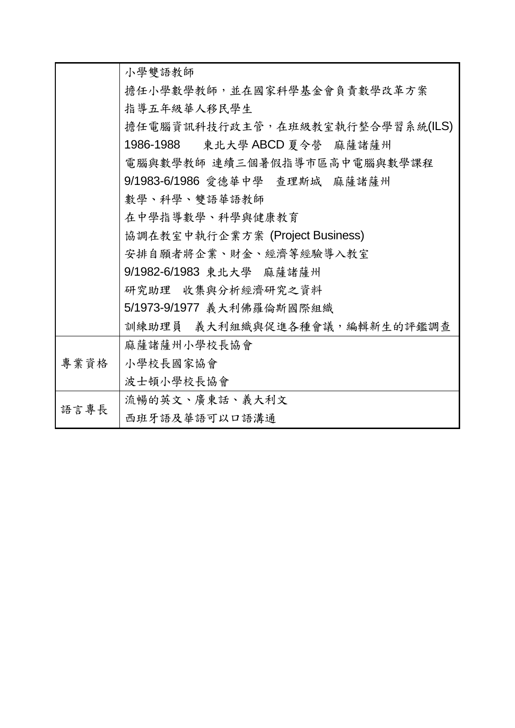|      | 小學雙語教師                          |  |
|------|---------------------------------|--|
|      | 擔任小學數學教師,並在國家科學基金會負責數學改革方案      |  |
|      | 指導五年級華人移民學生                     |  |
|      | 擔任電腦資訊科技行政主管,在班級教室執行整合學習系統(ILS) |  |
|      | 1986-1988 東北大學 ABCD 夏令營 麻薩諸薩州   |  |
|      | 電腦與數學教師 連續三個暑假指導市區高中電腦與數學課程     |  |
|      | 9/1983-6/1986 愛德華中學 查理斯城 麻薩諸薩州  |  |
|      | 數學、科學、雙語華語教師                    |  |
|      | 在中學指導數學、科學與健康教育                 |  |
|      | 協調在教室中執行企業方案 (Project Business) |  |
|      | 安排自願者將企業、財金、經濟等經驗導入教室           |  |
|      | 9/1982-6/1983 東北大學 麻薩諸薩州        |  |
|      | 研究助理 收集與分析經濟研究之資料               |  |
|      | 5/1973-9/1977 義大利佛羅倫斯國際組織       |  |
|      | 訓練助理員 義大利組織與促進各種會議,編輯新生的評鑑調查    |  |
|      | 麻薩諸薩州小學校長協會                     |  |
| 專業資格 | 小學校長國家協會                        |  |
|      | 波士頓小學校長協會                       |  |
| 語言專長 | 流暢的英文、廣東話、義大利文                  |  |
|      | 西班牙語及華語可以口語溝通                   |  |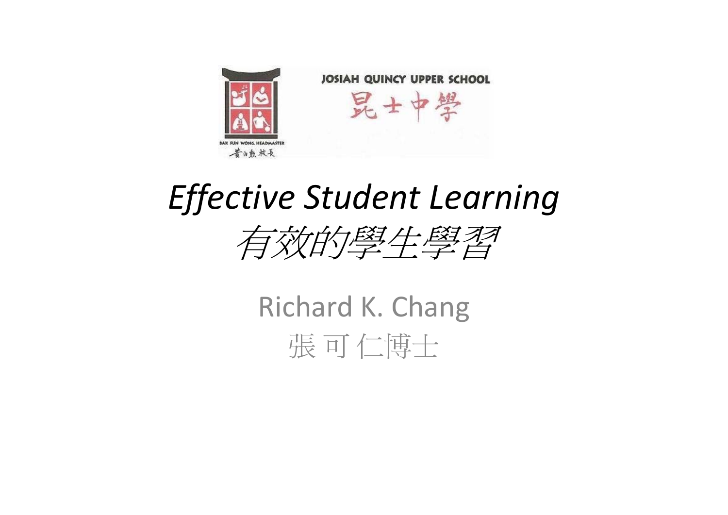

## *Effective Student Learning*



Richard K. Chang 張 可 仁博士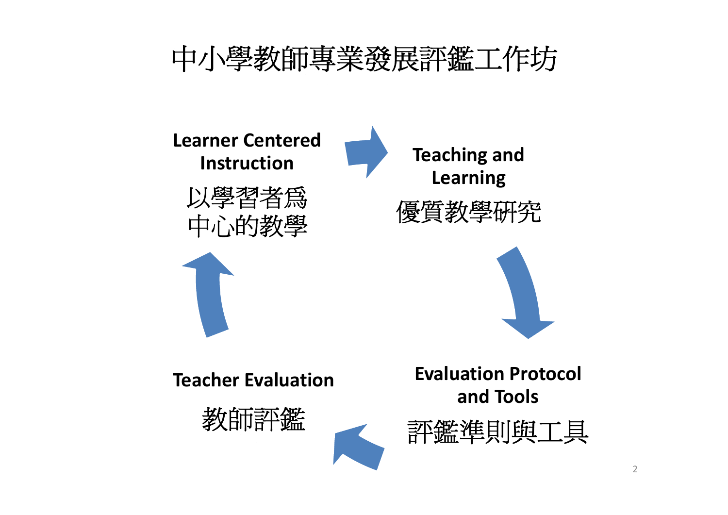

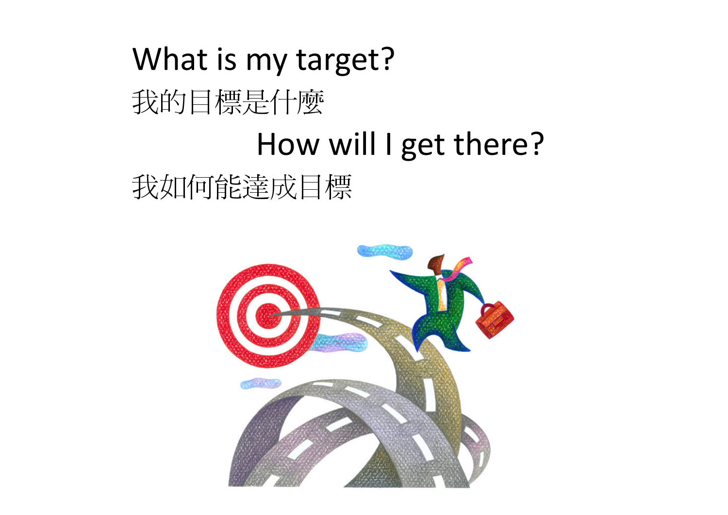# What is my target? 我的目標是什麼 How will I get there?

我如何能達成目標

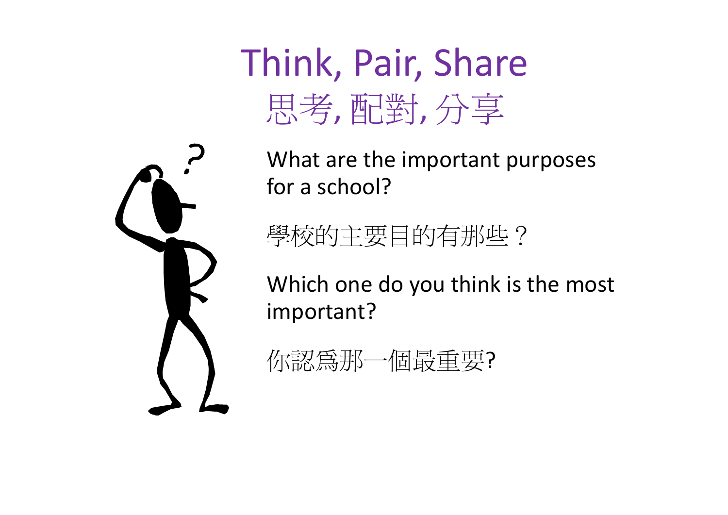Think, Pair, Share 思考, 配對, 分享



What are the important purposes for a school?

學校的主要目的有那些?

Which one do you think is the most important?

| 你認爲那<br>個最重要? |
|---------------|
|---------------|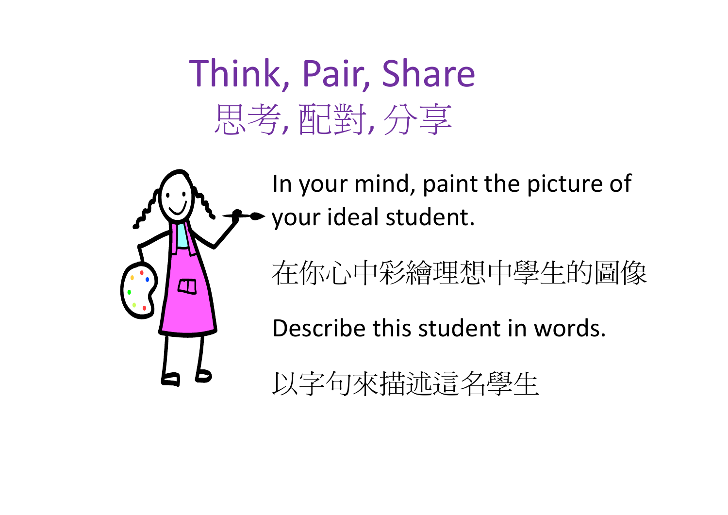## Think, Pair, Share 思考, 配對, 分享

In your mind, paint the picture of your ideal student.

在你心中彩繪理想中學生的圖像

Describe this student in words.

以字句來描述這名學生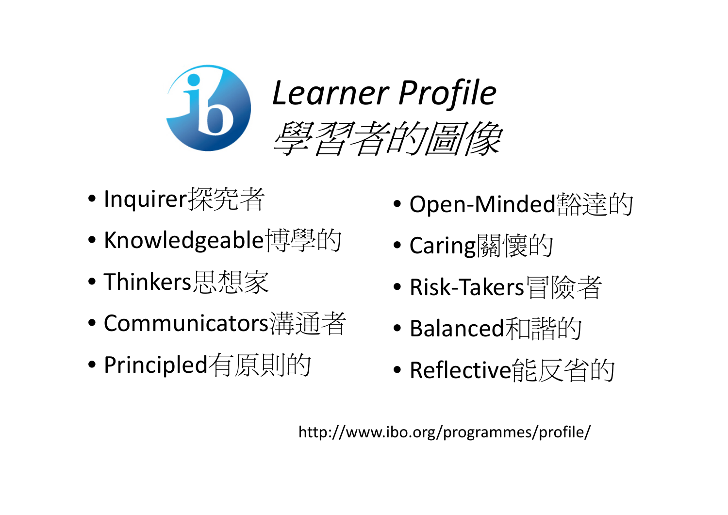

- Inquirer探究者
- Knowledgeable博學的
- •Thinkers思想家
- Communicators溝通者
- •Principled有原則的
- Open‐Minded豁達的
- $\bullet$ Caring關懷的
- $\bullet$ Risk‐Takers冒險者
- Balanced和諧的
- Reflective能反省的

http://www.ibo.org/programmes/profile/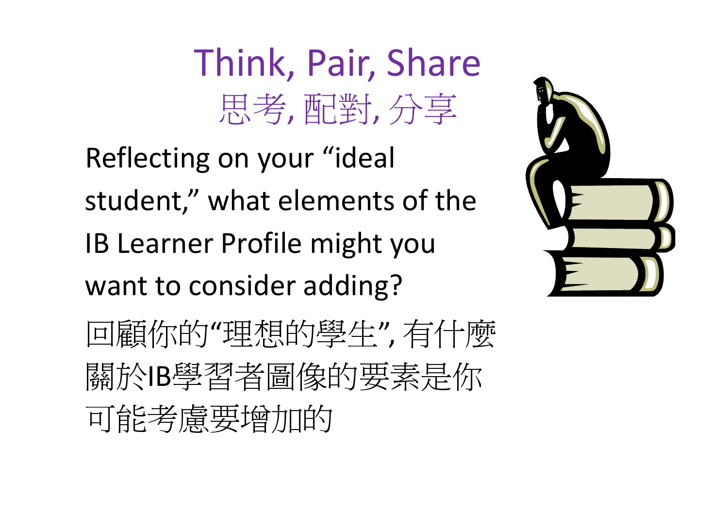# Think, Pair, Share 思考, 配對, 分享

Reflecting on your "ideal student," what elements of the IB Learner Profile might you want to consider adding?



回顧你的"理想的學生", 有什麼 關於IB學習者圖像的要素是你 可能考慮要增加的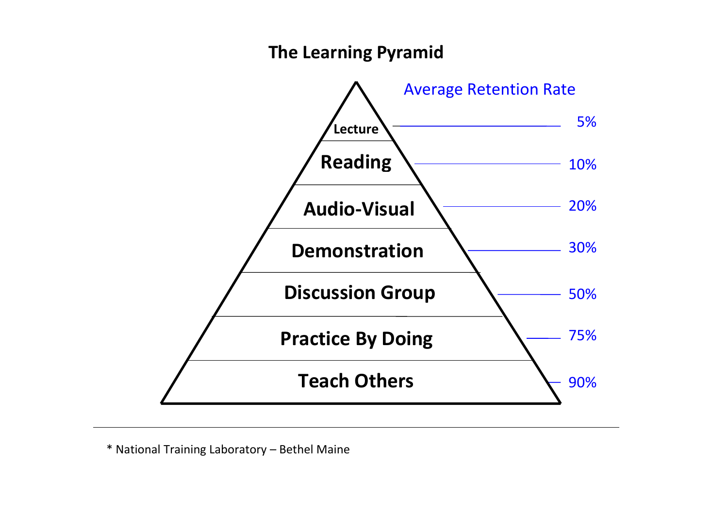#### **The Learning Pyramid**



\* National Training Laboratory – Bethel Maine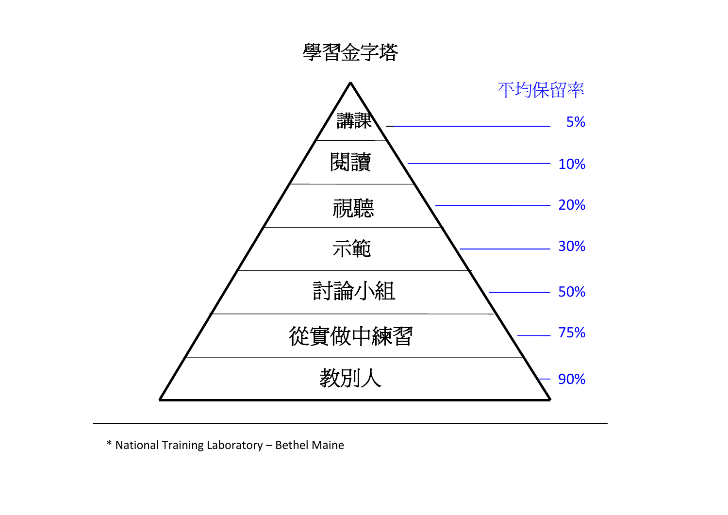

\* National Training Laboratory – Bethel Maine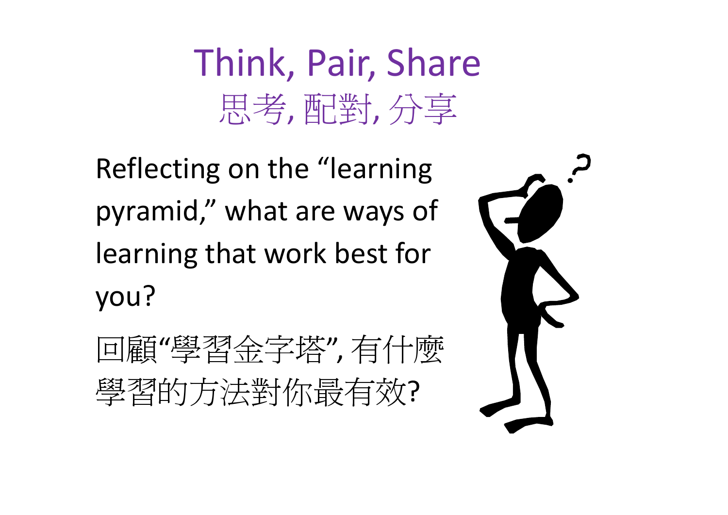# Think, Pair, Share 思考, 配對, 分享

Reflecting on the "learning pyramid," what are ways of learning that work best for you?

回顧"學習金字塔", 有什麼 學習的方法對你最有效?

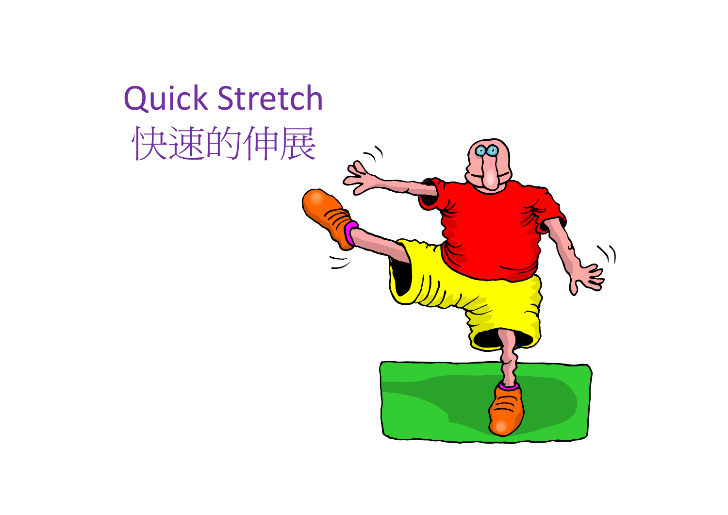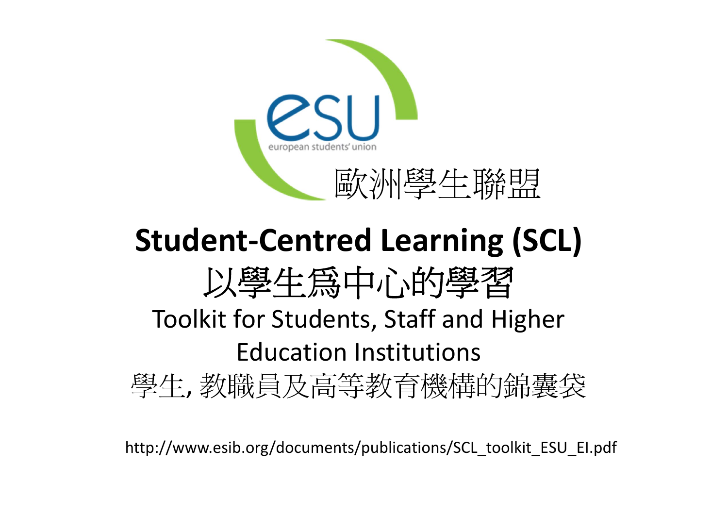

## **Student‐Centred Learning (SCL)** 以學生為中心的學習 Toolkit for Students, Staff and Higher Education Institutions 學生, 教職員及高等教育機構的錦囊袋

http://www.esib.org/documents/publications/SCL\_toolkit\_ESU\_EI.pdf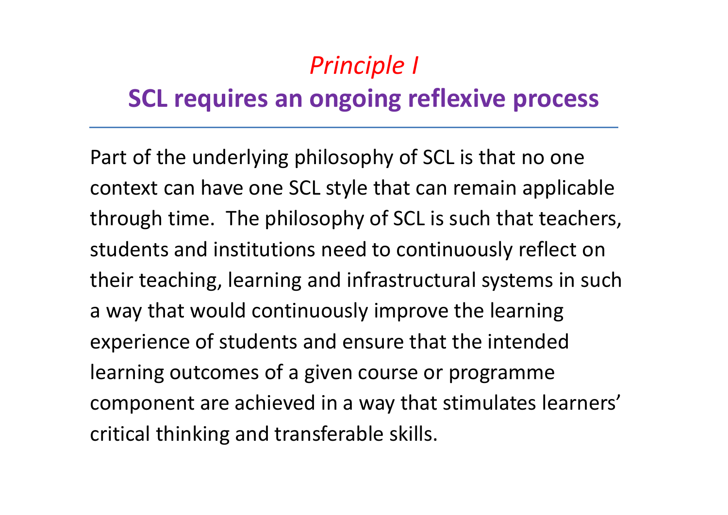### *Principle I*

### **SCL requires an ongoing reflexive process**

Part of the underlying philosophy of SCL is that no one context can have one SCL style that can remain applicable through time. The philosophy of SCL is such that teachers, students and institutions need to continuously reflect on their teaching, learning and infrastructural systems in such a way that would continuously improve the learning experience of students and ensure that the intended learning outcomes of <sup>a</sup> given course or programme component are achieved in <sup>a</sup> way that stimulates learners' critical thinking and transferable skills.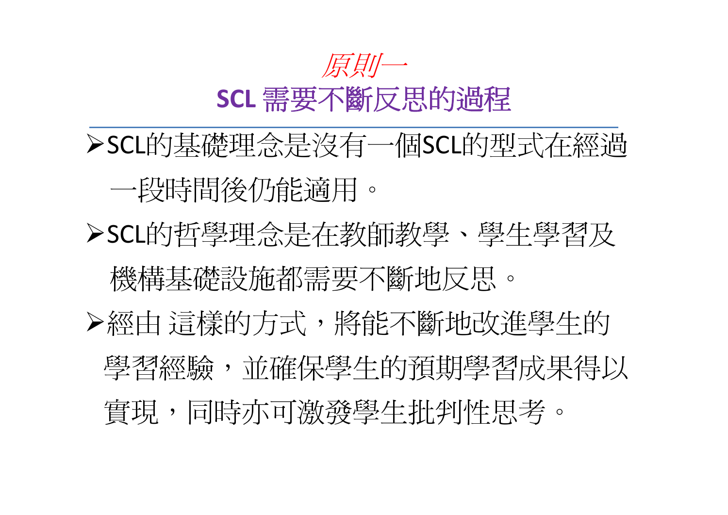

SCL的基礎理念是沒有一個SCL的型式在經過 一段時間後仍能適用。 SCL的哲學理念是在教師教學、學生學習及 機構基礎認施都需要不斷地反思。 ▶經由 這樣的方式, 將能不斷地改進學生的 學習經驗,並確保學生的預期學習成果得以 實現,同時亦可激發學生批判性思考。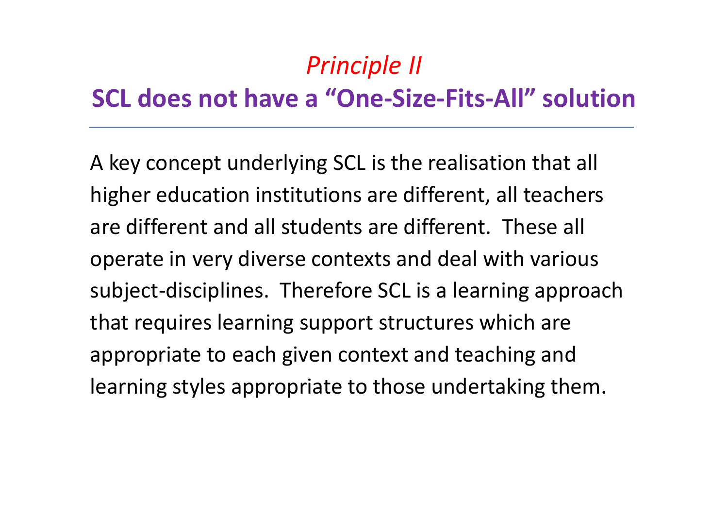### *Principle II*

### **SCL does not have a "One‐Size‐Fits‐All" solution**

A key concept underlying SCL is the realisation that all higher education institutions are different, all teachers are different and all students are different. These all operate in very diverse contexts and deal with various subject‐disciplines. Therefore SCL is <sup>a</sup> learning approach that requires learning support structures which are appropriate to each given context and teaching and learning styles appropriate to those undertaking them.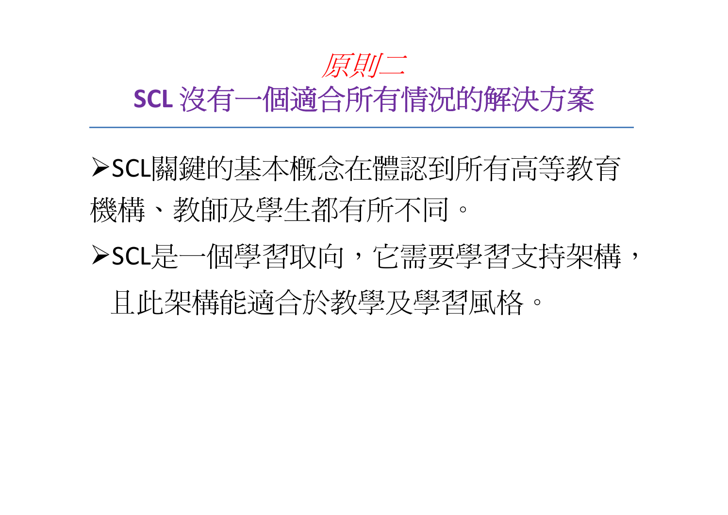## 原則二

### **SCL** 沒有一個適合所有情況的解決方案

SCL關鍵的基本概念在體認到所有高等教育 機構、教師及學生都有所不同。 **>SCL**是一個學習取向,它需要學習支持架構, 且此架構能適合於教學及學習風格。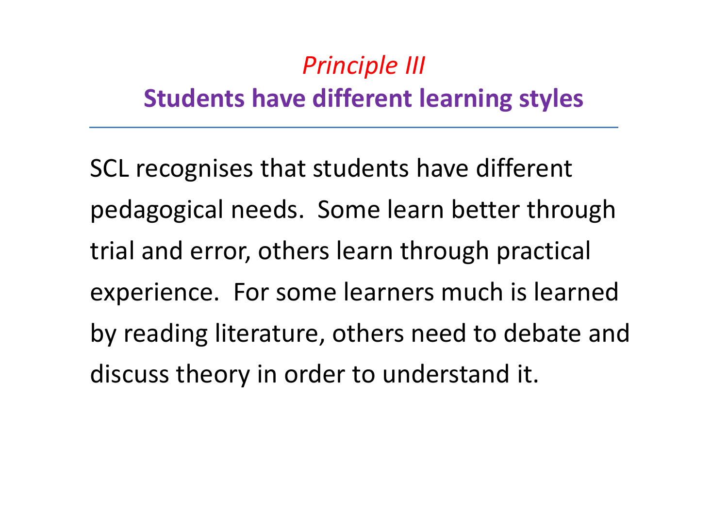## *Principle III* **Students have different learning styles**

SCL recognises that students have different pedagogical needs. Some learn better through trial and error, others learn through practical experience. For some learners much is learned by reading literature, others need to debate and discuss theory in order to understand it.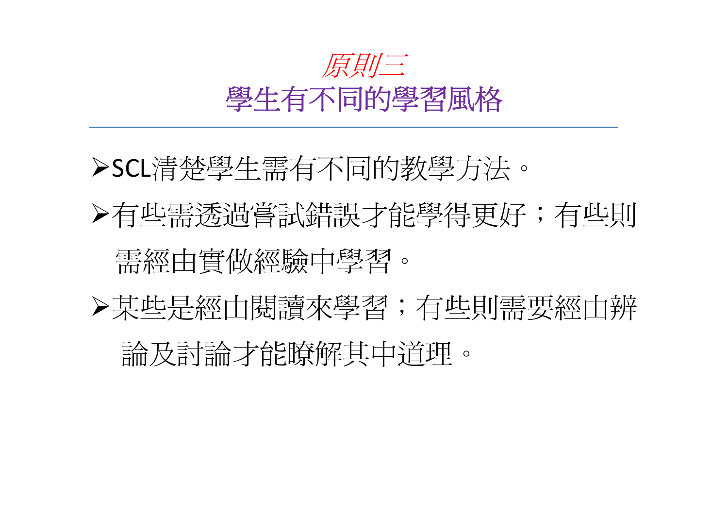

SCL清楚學生需有不同的教學方法。

▶有些需透過嘗試錯誤才能學得更好;有些則 需經由實做經驗中學習。

某些是經由閱讀來學習;有些則需要經由辨

論及討論才能瞭解其中道理。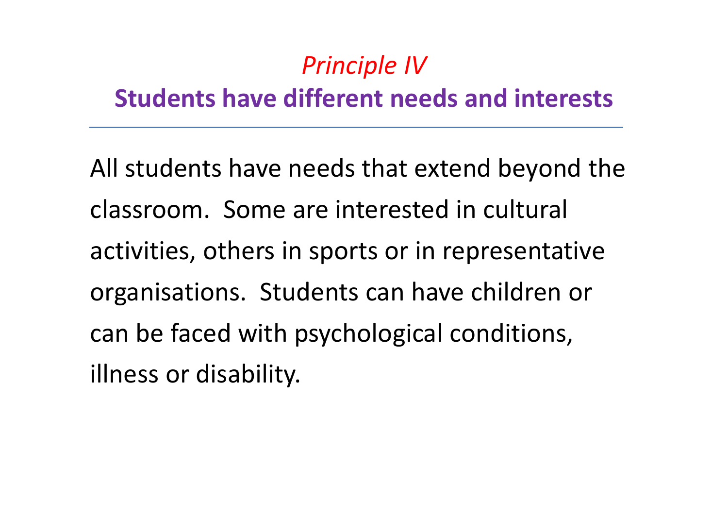### *Principle IV*

### **Students have different needs and interests**

All students have needs that extend beyond the classroom. Some are interested in cultural activities, others in sports or in representative organisations. Students can have children or can be faced with psychological conditions, illness or disability.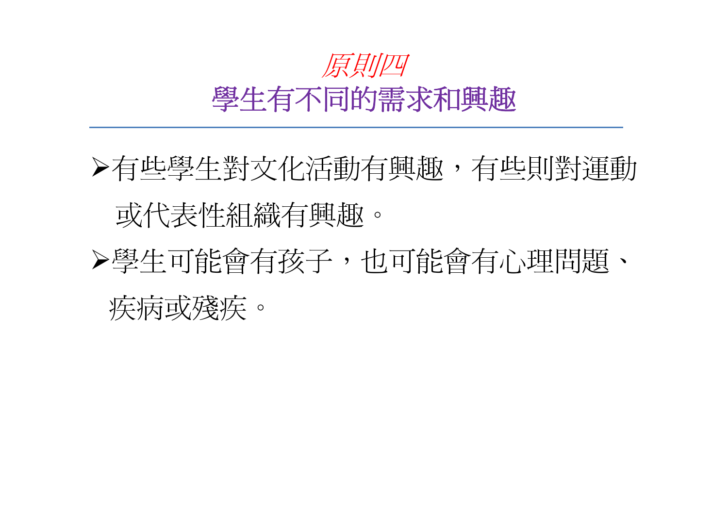

▶有些學生對文化活動有興趣,有些則對運動 或代表性組織有興趣。 學生可能會有孩子,也可能會有心理問題、 疾病或殘疾。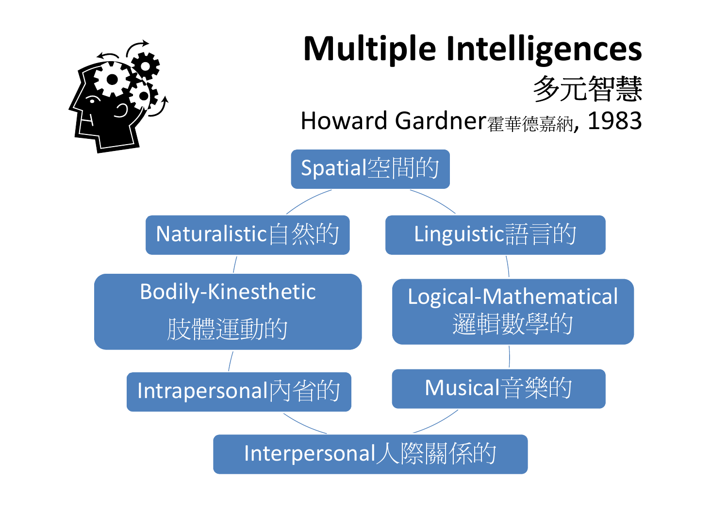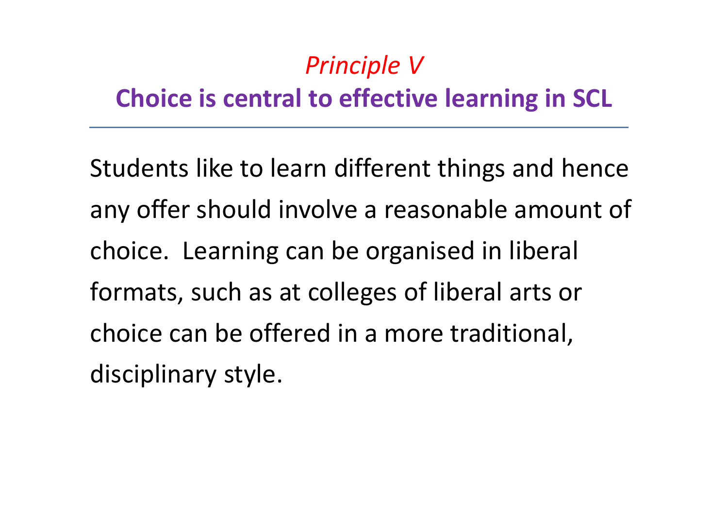### *Principle V* **Choice is central to effective learning in SCL**

Students like to learn different things and hence any offer should involve <sup>a</sup> reasonable amount of choice. Learning can be organised in liberal formats, such as at colleges of liberal arts or choice can be offered in <sup>a</sup> more traditional, disciplinary style.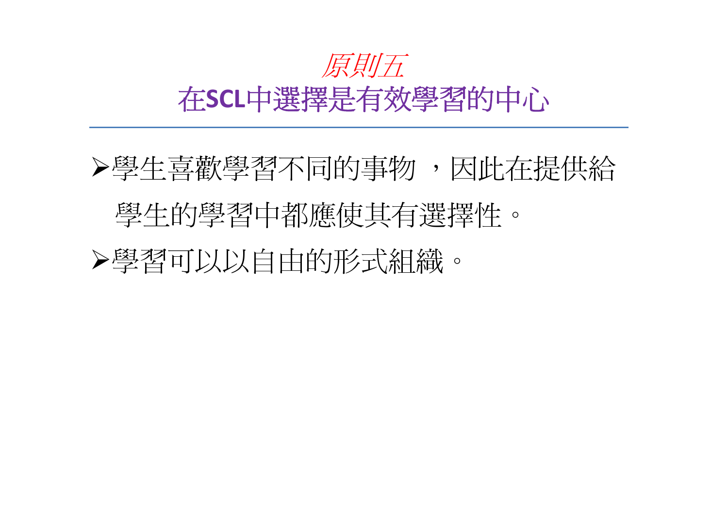

## 學生喜歡學習不同的事物 ,因此在提供給 學生的學習中都應使其有選擇性。 學習可以以自由的形式組織。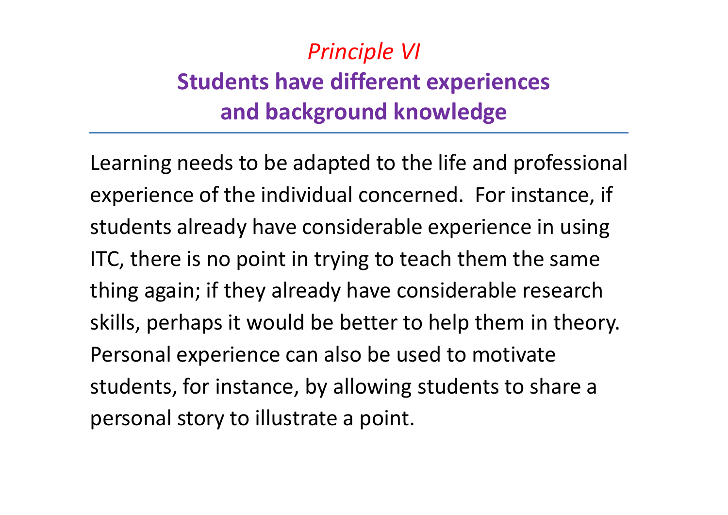### *Principle VI* **Students have different experiences and background knowledge**

Learning needs to be adapted to the life and professional experience of the individual concerned. For instance, if students already have considerable experience in using ITC, there is no point in trying to teach them the same thing again; if they already have considerable research skills, perhaps it would be better to help them in theory. Personal experience can also be used to motivate students, for instance, by allowing students to share <sup>a</sup> personal story to illustrate <sup>a</sup> point.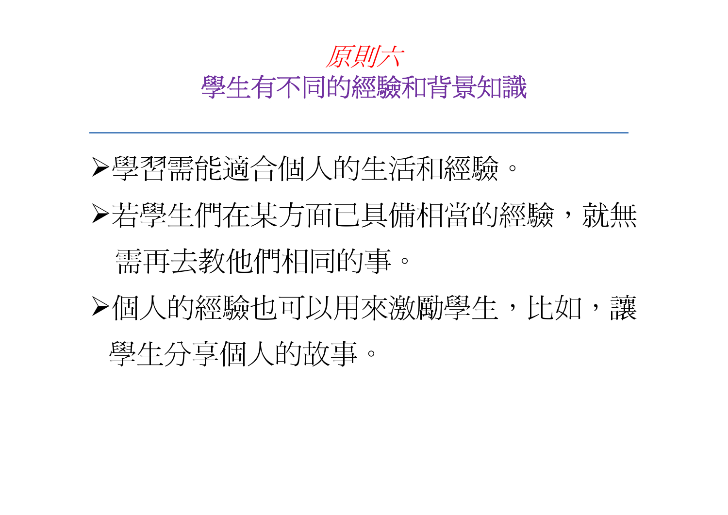

學習需能適合個人的生活和經驗。

若學生們在某方面已具備相當的經驗,就無 需再去教他們相同的事。

個人的經驗也可以用來激勵學生,比如,讓 學生分享個人的故事。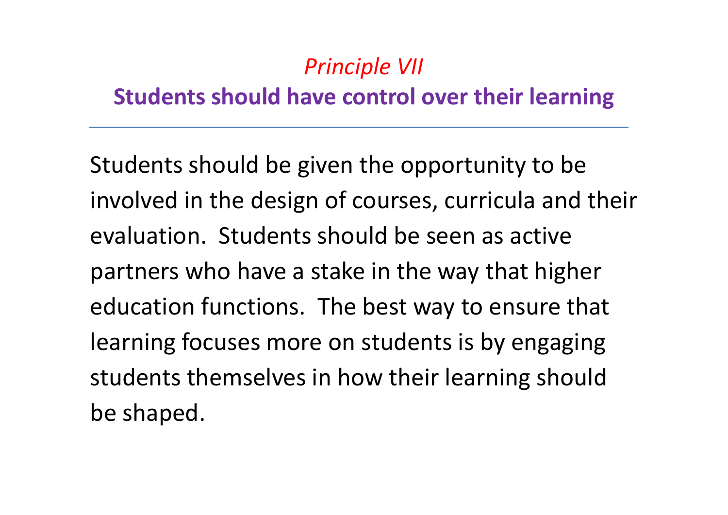### *Principle VII*

#### **Students should have control over their learning**

Students should be given the opportunity to be involved in the design of courses, curricula and their evaluation. Students should be seen as active partners who have <sup>a</sup> stake in the way that higher education functions. The best way to ensure that learning focuses more on students is by engaging students themselves in how their learning should be shaped.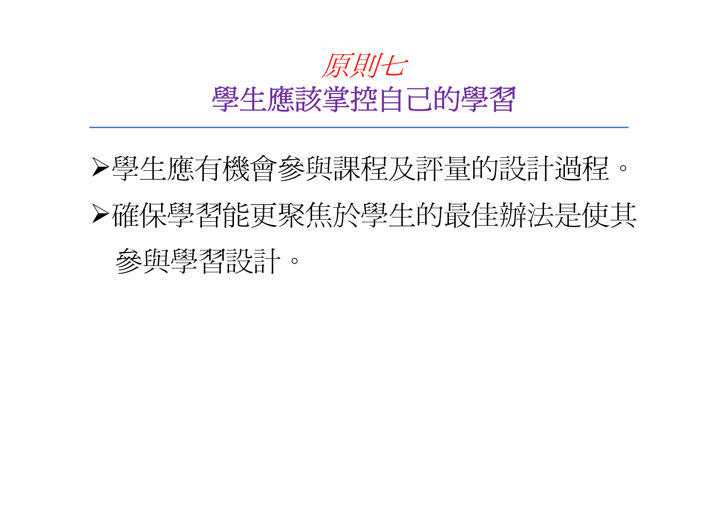

## 學生應有機會參與課程及評量的設計過程。 確保學習能更聚焦於學生的最佳辦法是使其 參與學習設計。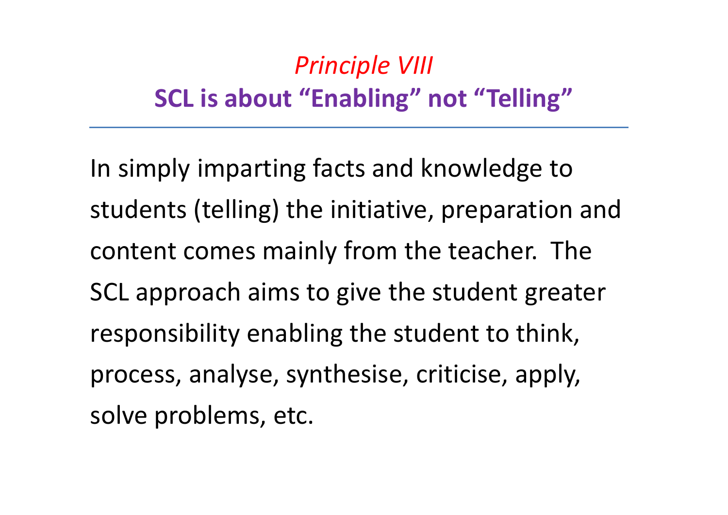## *Principle VIII* **SCL is about "Enabling" not "Telling"**

In simply imparting facts and knowledge to students (telling) the initiative, preparation and content comes mainly from the teacher. The SCL approach aims to give the student greater responsibility enabling the student to think, process, analyse, synthesise, criticise, apply, solve problems, etc.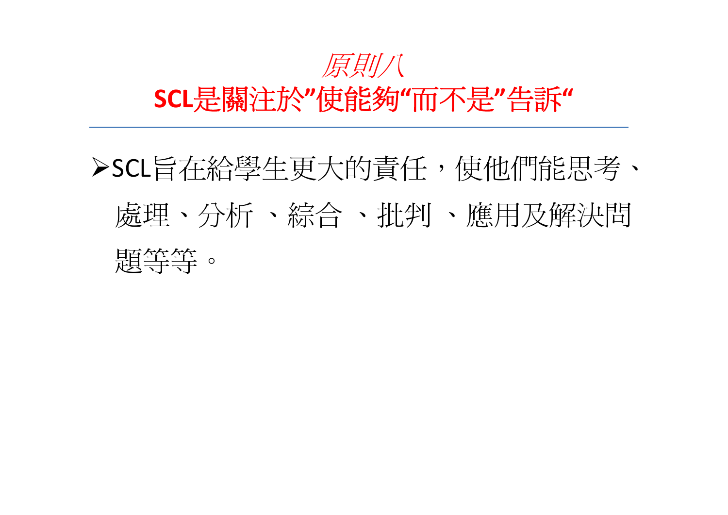

## SCL旨在給學生更大的責任,使他們能思考、 處理、分析 、綜合 、批判 、應用及解決問 題等等。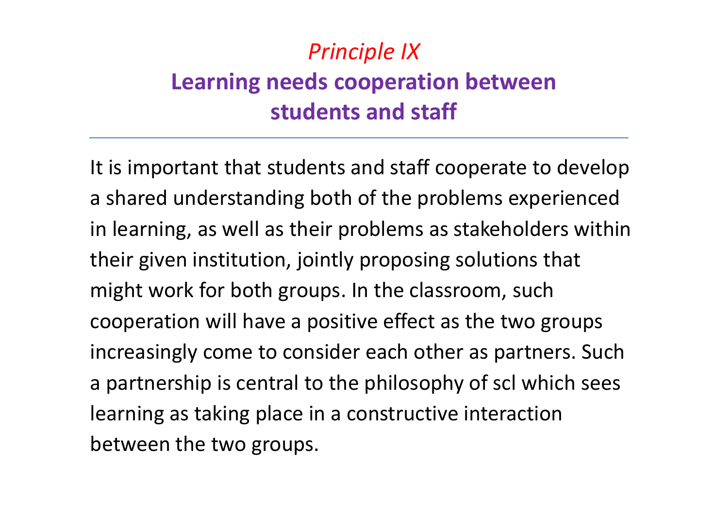### *Principle IX* **Learning needs cooperation between students and staff**

It is important that students and staff cooperate to develop a shared understanding both of the problems experienced in learning, as well as their problems as stakeholders within their given institution, jointly proposing solutions that might work for both groups. In the classroom, such cooperation will have <sup>a</sup> positive effect as the two groups increasingly come to consider each other as partners. Such a partnership is central to the philosophy of scl which sees learning as taking place in <sup>a</sup> constructive interaction between the two groups.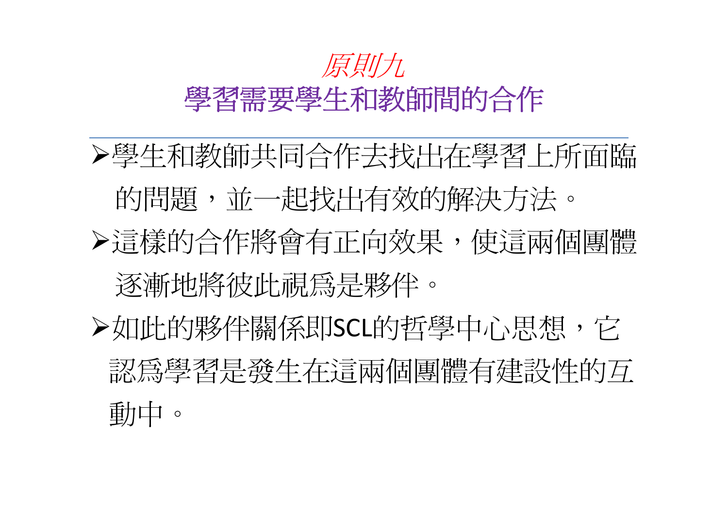

學生和教師共同合作去找出在學習上所面臨 的問題,並一起找出有效的解決方法。 這樣的合作將會有正向效果,使這兩個團體 逐漸地將彼此視為是夥伴。 **>如此的夥伴關係即SCL的哲學中心思想, 它** 認為學習是發生在這兩個團體有建設性的互 動中。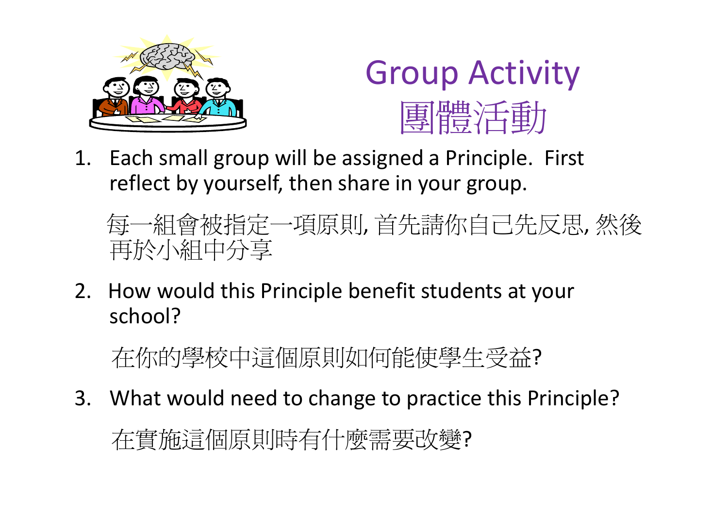



1. Each small group will be assigned <sup>a</sup> Principle. First reflect by yourself, then share in your group.

每一組會被指定一項原則, 首先請你自己先反思, 然後 再於小組中分享

2. How would this Principle benefit students at your school?

在你的學校中這個原則如何能使學生受益?

3. What would need to change to practice this Principle?

在實施這個原則時有什麼需要改變?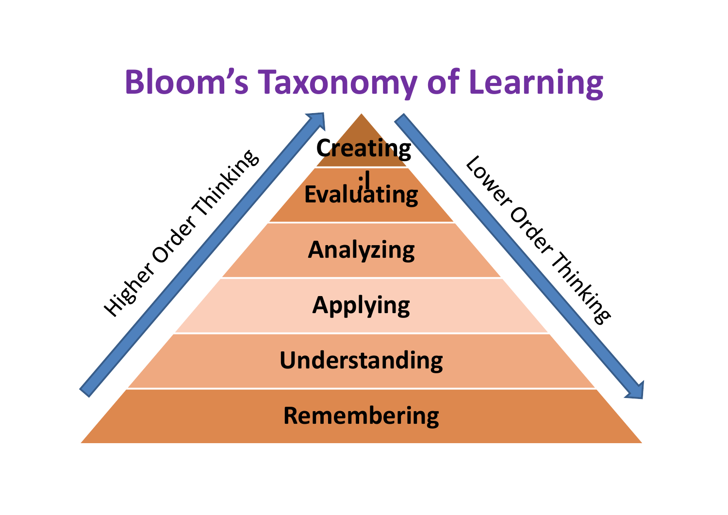# **Bloom's Taxonomy of Learning** Higher Order Timbers **Creating** Longin Order Timbing **;lEvaluating**

**Analyzing**

**Applying**

**Understanding**

**Remembering**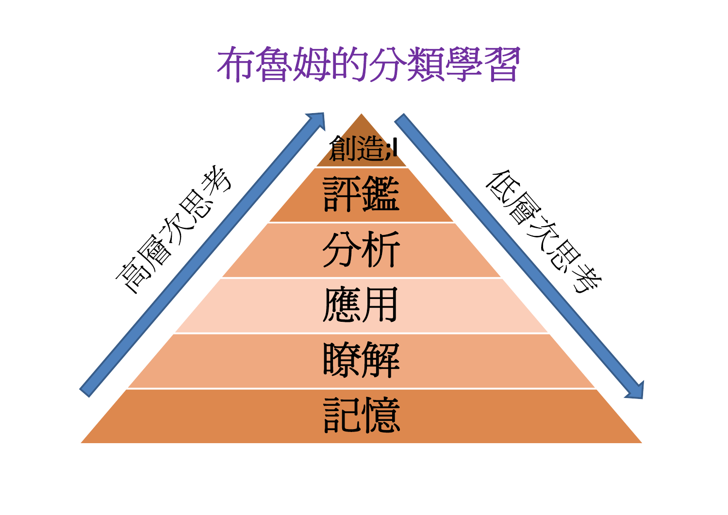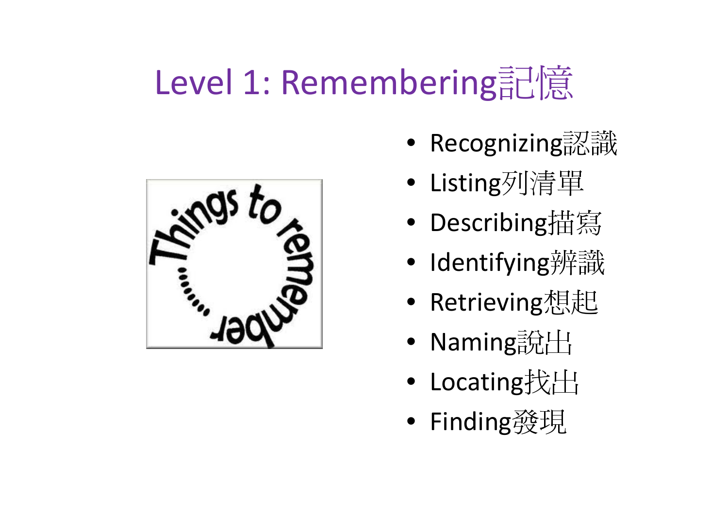## Level 1: Remembering記憶



- Recognizing認識
	- •Listing列清單
- Describing描寫
- Identifying辨識
- $\bullet$ • Retrieving想起
- Naming說出
- Locating找出
- $\bullet$ Finding發現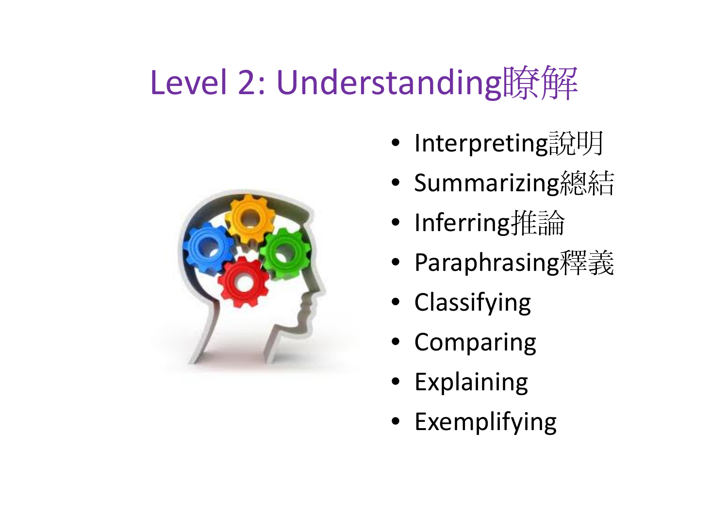## Level 2: Understanding瞭解



- •Interpreting說明
- Summarizing總結
- Inferring推論
- $\bullet$ Paraphrasing釋義
- Classifying
- Comparing
- Explaining
- Exemplifying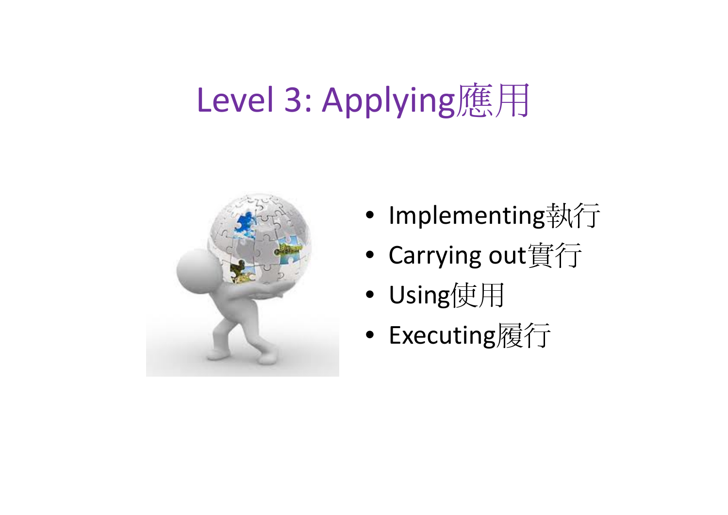## Level 3: Applying應用



- Implementing執行
- $\bullet$ Carrying out實行
- Using使用
- Executing履行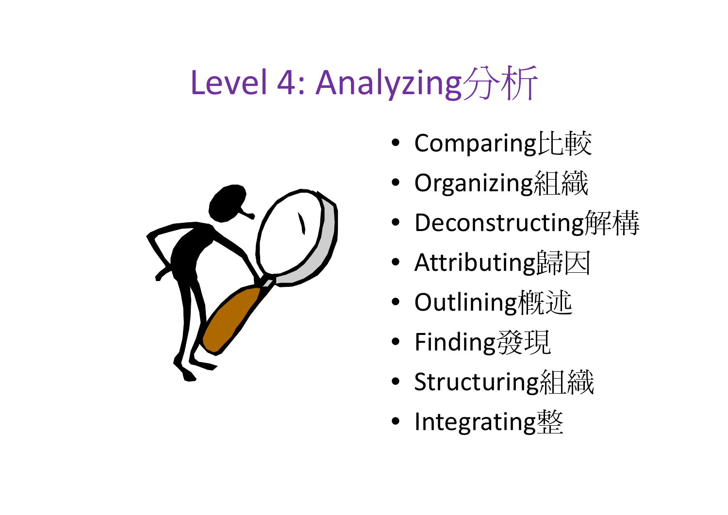## Level 4: Analyzing分析



- Comparing比較
- •Organizing組織
- Deconstructing解構
- $\bullet$ • Attributing歸因
- Outlining概述
- $\bullet$ Finding發現
- Structuring組織
- $\bullet$ Integrating整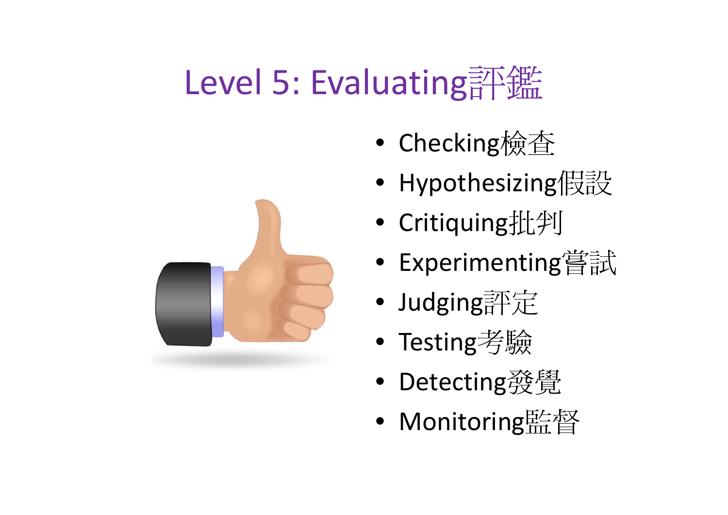## Level 5: Evaluating評鑑

- $\bullet$ Checking檢查
- $\bullet$ • Hypothesizing假設
- Critiquing批判
- $\bullet$ Experimenting嘗試
- Judging評定
- $\bullet$ Testing考驗
- Detecting發覺
- $\bullet$ Monitoring監督